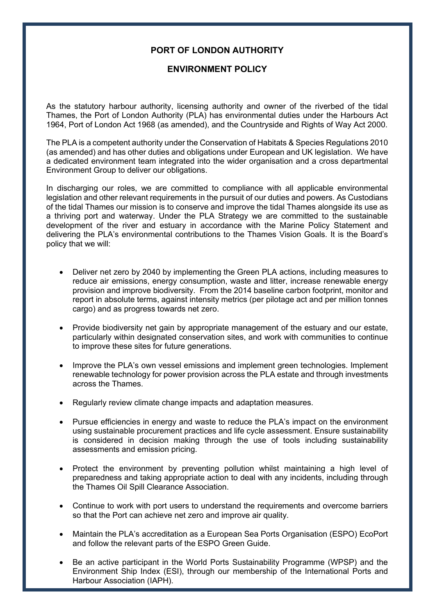## **PORT OF LONDON AUTHORITY**

## **ENVIRONMENT POLICY**

As the statutory harbour authority, licensing authority and owner of the riverbed of the tidal Thames, the Port of London Authority (PLA) has environmental duties under the Harbours Act 1964, Port of London Act 1968 (as amended), and the Countryside and Rights of Way Act 2000.

The PLA is a competent authority under the Conservation of Habitats & Species Regulations 2010 (as amended) and has other duties and obligations under European and UK legislation. We have a dedicated environment team integrated into the wider organisation and a cross departmental Environment Group to deliver our obligations.

In discharging our roles, we are committed to compliance with all applicable environmental legislation and other relevant requirements in the pursuit of our duties and powers. As Custodians of the tidal Thames our mission is to conserve and improve the tidal Thames alongside its use as a thriving port and waterway. Under the PLA Strategy we are committed to the sustainable development of the river and estuary in accordance with the Marine Policy Statement and delivering the PLA's environmental contributions to the Thames Vision Goals. It is the Board's policy that we will:

- Deliver net zero by 2040 by implementing the Green PLA actions, including measures to reduce air emissions, energy consumption, waste and litter, increase renewable energy provision and improve biodiversity. From the 2014 baseline carbon footprint, monitor and report in absolute terms, against intensity metrics (per pilotage act and per million tonnes cargo) and as progress towards net zero.
- Provide biodiversity net gain by appropriate management of the estuary and our estate, particularly within designated conservation sites, and work with communities to continue to improve these sites for future generations.
- Improve the PLA's own vessel emissions and implement green technologies. Implement renewable technology for power provision across the PLA estate and through investments across the Thames.
- Regularly review climate change impacts and adaptation measures.
- Pursue efficiencies in energy and waste to reduce the PLA's impact on the environment using sustainable procurement practices and life cycle assessment. Ensure sustainability is considered in decision making through the use of tools including sustainability assessments and emission pricing.
- Protect the environment by preventing pollution whilst maintaining a high level of preparedness and taking appropriate action to deal with any incidents, including through the Thames Oil Spill Clearance Association.
- Continue to work with port users to understand the requirements and overcome barriers so that the Port can achieve net zero and improve air quality.
- Maintain the PLA's accreditation as a European Sea Ports Organisation (ESPO) EcoPort and follow the relevant parts of the ESPO Green Guide.
- Be an active participant in the World Ports Sustainability Programme (WPSP) and the Environment Ship Index (ESI), through our membership of the International Ports and Harbour Association (IAPH).